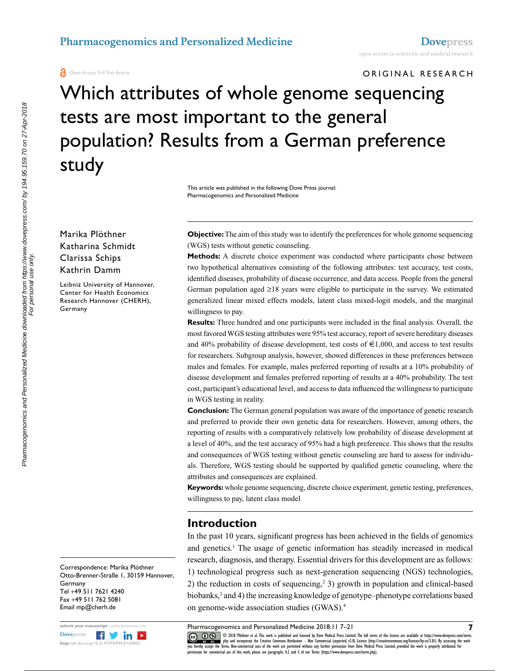Open Access Full Text Article

ORIGINAL RESEARCH

# Which attributes of whole genome sequencing tests are most important to the general population? Results from a German preference study

This article was published in the following Dove Press journal: Pharmacogenomics and Personalized Medicine

Marika Plöthner Katharina Schmidt Clarissa Schips Kathrin Damm

Leibniz University of Hannover, Center for Health Economics Research Hannover (CHERH), Germany

**Objective:** The aim of this study was to identify the preferences for whole genome sequencing (WGS) tests without genetic counseling.

**Methods:** A discrete choice experiment was conducted where participants chose between two hypothetical alternatives consisting of the following attributes: test accuracy, test costs, identified diseases, probability of disease occurrence, and data access. People from the general German population aged ≥18 years were eligible to participate in the survey. We estimated generalized linear mixed effects models, latent class mixed-logit models, and the marginal willingness to pay.

**Results:** Three hundred and one participants were included in the final analysis. Overall, the most favored WGS testing attributes were 95% test accuracy, report of severe hereditary diseases and 40% probability of disease development, test costs of  $\epsilon$ 1,000, and access to test results for researchers. Subgroup analysis, however, showed differences in these preferences between males and females. For example, males preferred reporting of results at a 10% probability of disease development and females preferred reporting of results at a 40% probability. The test cost, participant's educational level, and access to data influenced the willingness to participate in WGS testing in reality.

**Conclusion:** The German general population was aware of the importance of genetic research and preferred to provide their own genetic data for researchers. However, among others, the reporting of results with a comparatively relatively low probability of disease development at a level of 40%, and the test accuracy of 95% had a high preference. This shows that the results and consequences of WGS testing without genetic counseling are hard to assess for individuals. Therefore, WGS testing should be supported by qualified genetic counseling, where the attributes and consequences are explained.

**Keywords:** whole genome sequencing, discrete choice experiment, genetic testing, preferences, willingness to pay, latent class model

## **Introduction**

In the past 10 years, significant progress has been achieved in the fields of genomics and genetics.<sup>1</sup> The usage of genetic information has steadily increased in medical research, diagnosis, and therapy. Essential drivers for this development are as follows: 1) technological progress such as next-generation sequencing (NGS) technologies, 2) the reduction in costs of sequencing,<sup>2</sup> 3) growth in population and clinical-based biobanks,<sup>3</sup> and 4) the increasing knowledge of genotype-phenotype correlations based on genome-wide association studies (GWAS).4

Pharmacogenomics and Personalized Medicine 2018:11 7–21

CO OD 18 Piöthner et al. This work is published and licensed by Dove Medical Press Limited. The full terms of this license are available at https://www.dovepress.com/terms.<br>You hereby accept the Terms Mon-commetrial uses o  $m$ ission for commercial use of this work, please see paragraphs  $4.2$  and  $5$  of our Terms (https://www.dovepress.com/terms.php).

Correspondence: Marika Plöthner Otto-Brenner-Straße 1, 30159 Hannover, Germany Tel +49 511 7621 4240 Fax +49 511 762 5081 Email mp@cherh.de

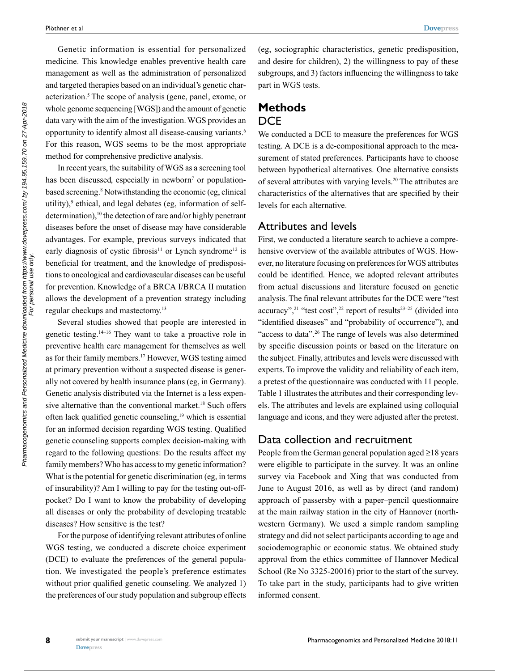**[Dovepress](www.dovepress.com)**

Genetic information is essential for personalized medicine. This knowledge enables preventive health care management as well as the administration of personalized and targeted therapies based on an individual's genetic characterization.<sup>5</sup> The scope of analysis (gene, panel, exome, or whole genome sequencing [WGS]) and the amount of genetic data vary with the aim of the investigation. WGS provides an opportunity to identify almost all disease-causing variants.6 For this reason, WGS seems to be the most appropriate method for comprehensive predictive analysis.

In recent years, the suitability of WGS as a screening tool has been discussed, especially in newborn<sup>7</sup> or populationbased screening.<sup>8</sup> Notwithstanding the economic (eg, clinical utility),<sup>9</sup> ethical, and legal debates (eg, information of selfdetermination), $10$  the detection of rare and/or highly penetrant diseases before the onset of disease may have considerable advantages. For example, previous surveys indicated that early diagnosis of cystic fibrosis<sup>11</sup> or Lynch syndrome<sup>12</sup> is beneficial for treatment, and the knowledge of predispositions to oncological and cardiovascular diseases can be useful for prevention. Knowledge of a BRCA I/BRCA II mutation allows the development of a prevention strategy including regular checkups and mastectomy.13

Several studies showed that people are interested in genetic testing.14–16 They want to take a proactive role in preventive health care management for themselves as well as for their family members.17 However, WGS testing aimed at primary prevention without a suspected disease is generally not covered by health insurance plans (eg, in Germany). Genetic analysis distributed via the Internet is a less expensive alternative than the conventional market.<sup>18</sup> Such offers often lack qualified genetic counseling,19 which is essential for an informed decision regarding WGS testing. Qualified genetic counseling supports complex decision-making with regard to the following questions: Do the results affect my family members? Who has access to my genetic information? What is the potential for genetic discrimination (eg, in terms of insurability)? Am I willing to pay for the testing out-offpocket? Do I want to know the probability of developing all diseases or only the probability of developing treatable diseases? How sensitive is the test?

For the purpose of identifying relevant attributes of online WGS testing, we conducted a discrete choice experiment (DCE) to evaluate the preferences of the general population. We investigated the people's preference estimates without prior qualified genetic counseling. We analyzed 1) the preferences of our study population and subgroup effects (eg, sociographic characteristics, genetic predisposition, and desire for children), 2) the willingness to pay of these subgroups, and 3) factors influencing the willingness to take part in WGS tests.

## **Methods DCE**

We conducted a DCE to measure the preferences for WGS testing. A DCE is a de-compositional approach to the measurement of stated preferences. Participants have to choose between hypothetical alternatives. One alternative consists of several attributes with varying levels.20 The attributes are characteristics of the alternatives that are specified by their levels for each alternative.

#### Attributes and levels

First, we conducted a literature search to achieve a comprehensive overview of the available attributes of WGS. However, no literature focusing on preferences for WGS attributes could be identified. Hence, we adopted relevant attributes from actual discussions and literature focused on genetic analysis. The final relevant attributes for the DCE were "test accuracy",<sup>21</sup> "test cost",<sup>22</sup> report of results<sup>23-25</sup> (divided into "identified diseases" and "probability of occurrence"), and "access to data".26 The range of levels was also determined by specific discussion points or based on the literature on the subject. Finally, attributes and levels were discussed with experts. To improve the validity and reliability of each item, a pretest of the questionnaire was conducted with 11 people. Table 1 illustrates the attributes and their corresponding levels. The attributes and levels are explained using colloquial language and icons, and they were adjusted after the pretest.

## Data collection and recruitment

People from the German general population aged ≥18 years were eligible to participate in the survey. It was an online survey via Facebook and Xing that was conducted from June to August 2016, as well as by direct (and random) approach of passersby with a paper–pencil questionnaire at the main railway station in the city of Hannover (northwestern Germany). We used a simple random sampling strategy and did not select participants according to age and sociodemographic or economic status. We obtained study approval from the ethics committee of Hannover Medical School (Re No 3325-20016) prior to the start of the survey. To take part in the study, participants had to give written informed consent.

**8**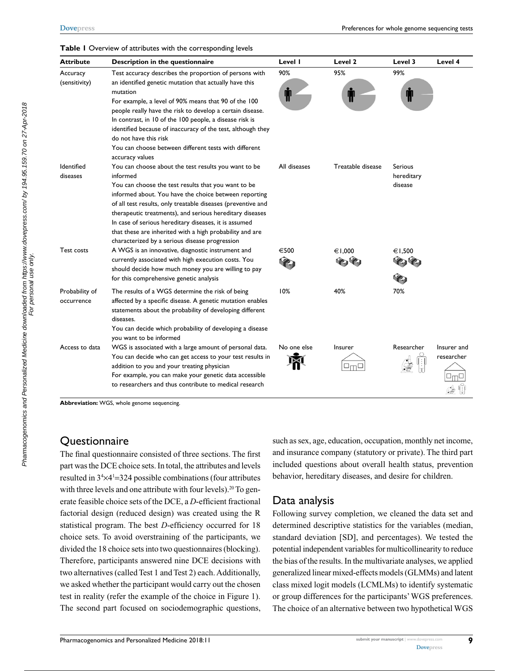| <b>Attribute</b>             | Description in the questionnaire                                                                                                                                                                                                                                                                                                                                                                                                                                                    | Level I      | Level 2           | Level 3                                 | Level 4                   |
|------------------------------|-------------------------------------------------------------------------------------------------------------------------------------------------------------------------------------------------------------------------------------------------------------------------------------------------------------------------------------------------------------------------------------------------------------------------------------------------------------------------------------|--------------|-------------------|-----------------------------------------|---------------------------|
| Accuracy<br>(sensitivity)    | Test accuracy describes the proportion of persons with<br>an identified genetic mutation that actually have this<br>mutation<br>For example, a level of 90% means that 90 of the 100<br>people really have the risk to develop a certain disease.<br>In contrast, in 10 of the 100 people, a disease risk is<br>identified because of inaccuracy of the test, although they<br>do not have this risk<br>You can choose between different tests with different<br>accuracy values    | 90%          | 95%               | 99%                                     |                           |
| Identified<br>diseases       | You can choose about the test results you want to be<br>informed<br>You can choose the test results that you want to be<br>informed about. You have the choice between reporting<br>of all test results, only treatable diseases (preventive and<br>therapeutic treatments), and serious hereditary diseases<br>In case of serious hereditary diseases, it is assumed<br>that these are inherited with a high probability and are<br>characterized by a serious disease progression | All diseases | Treatable disease | <b>Serious</b><br>hereditary<br>disease |                           |
| <b>Test costs</b>            | A WGS is an innovative, diagnostic instrument and<br>currently associated with high execution costs. You<br>should decide how much money you are willing to pay<br>for this comprehensive genetic analysis                                                                                                                                                                                                                                                                          | €500         | €1.000            | €1,500                                  |                           |
| Probability of<br>occurrence | The results of a WGS determine the risk of being<br>affected by a specific disease. A genetic mutation enables<br>statements about the probability of developing different<br>diseases.<br>You can decide which probability of developing a disease<br>you want to be informed                                                                                                                                                                                                      | 10%          | 40%               | 70%                                     |                           |
| Access to data               | WGS is associated with a large amount of personal data.<br>You can decide who can get access to your test results in<br>addition to you and your treating physician<br>For example, you can make your genetic data accessible<br>to researchers and thus contribute to medical research                                                                                                                                                                                             | No one else  | Insurer           | Researcher                              | Insurer and<br>researcher |

#### **Table 1** Overview of attributes with the corresponding levels

**Abbreviation:** WGS, whole genome sequencing.

#### **Questionnaire**

The final questionnaire consisted of three sections. The first part was the DCE choice sets. In total, the attributes and levels resulted in 34 ×41 =324 possible combinations (four attributes with three levels and one attribute with four levels).<sup>20</sup> To generate feasible choice sets of the DCE, a *D*-efficient fractional factorial design (reduced design) was created using the R statistical program. The best *D*-efficiency occurred for 18 choice sets. To avoid overstraining of the participants, we divided the 18 choice sets into two questionnaires (blocking). Therefore, participants answered nine DCE decisions with two alternatives (called Test 1 and Test 2) each. Additionally, we asked whether the participant would carry out the chosen test in reality (refer the example of the choice in Figure 1). The second part focused on sociodemographic questions,

such as sex, age, education, occupation, monthly net income, and insurance company (statutory or private). The third part included questions about overall health status, prevention behavior, hereditary diseases, and desire for children.

#### Data analysis

Following survey completion, we cleaned the data set and determined descriptive statistics for the variables (median, standard deviation [SD], and percentages). We tested the potential independent variables for multicollinearity to reduce the bias of the results. In the multivariate analyses, we applied generalized linear mixed-effects models (GLMMs) and latent class mixed logit models (LCMLMs) to identify systematic or group differences for the participants' WGS preferences. The choice of an alternative between two hypothetical WGS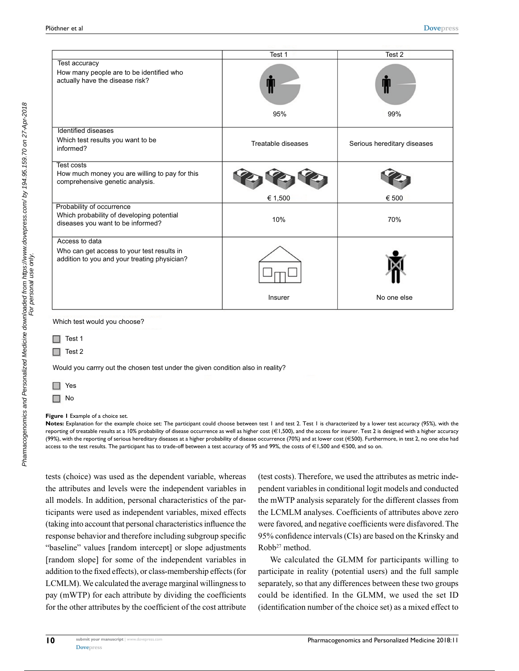|                                                                                                              | Test 1             | Test 2                      |
|--------------------------------------------------------------------------------------------------------------|--------------------|-----------------------------|
| Test accuracy<br>How many people are to be identified who<br>actually have the disease risk?                 | 95%                | 99%                         |
| <b>Identified diseases</b><br>Which test results you want to be<br>informed?                                 | Treatable diseases | Serious hereditary diseases |
| <b>Test costs</b><br>How much money you are willing to pay for this<br>comprehensive genetic analysis.       | € 1,500            | € 500                       |
| Probability of occurrence<br>Which probability of developing potential<br>diseases you want to be informed?  | 10%                | 70%                         |
| Access to data<br>Who can get access to your test results in<br>addition to you and your treating physician? | Insurer            | No one else                 |

Which test would you choose?

 $\Box$  Test 1

 $\Box$  Test 2

Would you carrry out the chosen test under the given condition also in reality?

□ Yes  $\Box$  No

**Figure 1** Example of a choice set.

**Notes:** Explanation for the example choice set: The participant could choose between test 1 and test 2. Test 1 is characterized by a lower test accuracy (95%), with the reporting of treatable results at a 10% probability of disease occurrence as well as higher cost (€1,500), and the access for insurer. Test 2 is designed with a higher accuracy (99%), with the reporting of serious hereditary diseases at a higher probability of disease occurrence (70%) and at lower cost (€500). Furthermore, in test 2, no one else had access to the test results. The participant has to trade-off between a test accuracy of 95 and 99%, the costs of €1,500 and €500, and so on.

tests (choice) was used as the dependent variable, whereas the attributes and levels were the independent variables in all models. In addition, personal characteristics of the participants were used as independent variables, mixed effects (taking into account that personal characteristics influence the response behavior and therefore including subgroup specific "baseline" values [random intercept] or slope adjustments [random slope] for some of the independent variables in addition to the fixed effects), or class-membership effects (for LCMLM). We calculated the average marginal willingness to pay (mWTP) for each attribute by dividing the coefficients for the other attributes by the coefficient of the cost attribute (test costs). Therefore, we used the attributes as metric independent variables in conditional logit models and conducted the mWTP analysis separately for the different classes from the LCMLM analyses. Coefficients of attributes above zero were favored, and negative coefficients were disfavored. The 95% confidence intervals (CIs) are based on the Krinsky and Robb<sup>27</sup> method.

We calculated the GLMM for participants willing to participate in reality (potential users) and the full sample separately, so that any differences between these two groups could be identified. In the GLMM, we used the set ID (identification number of the choice set) as a mixed effect to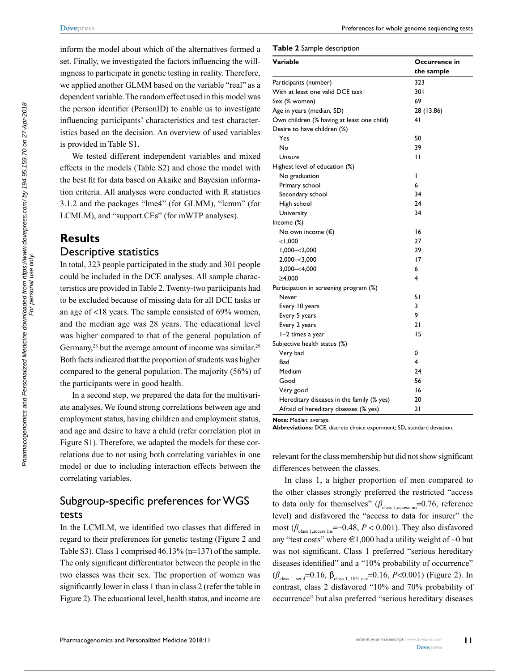inform the model about which of the alternatives formed a set. Finally, we investigated the factors influencing the willingness to participate in genetic testing in reality. Therefore, we applied another GLMM based on the variable "real" as a dependent variable. The random effect used in this model was the person identifier (PersonID) to enable us to investigate influencing participants' characteristics and test characteristics based on the decision. An overview of used variables is provided in Table S1.

We tested different independent variables and mixed effects in the models (Table S2) and chose the model with the best fit for data based on Akaike and Bayesian information criteria. All analyses were conducted with R statistics 3.1.2 and the packages "lme4" (for GLMM), "lcmm" (for LCMLM), and "support.CEs" (for mWTP analyses).

## **Results**

#### Descriptive statistics

In total, 323 people participated in the study and 301 people could be included in the DCE analyses. All sample characteristics are provided in Table 2. Twenty-two participants had to be excluded because of missing data for all DCE tasks or an age of <18 years. The sample consisted of 69% women, and the median age was 28 years. The educational level was higher compared to that of the general population of Germany, $^{28}$  but the average amount of income was similar. $^{29}$ Both facts indicated that the proportion of students was higher compared to the general population. The majority (56%) of the participants were in good health.

In a second step, we prepared the data for the multivariate analyses. We found strong correlations between age and employment status, having children and employment status, and age and desire to have a child (refer correlation plot in Figure S1). Therefore, we adapted the models for these correlations due to not using both correlating variables in one model or due to including interaction effects between the correlating variables.

## Subgroup-specific preferences for WGS tests

In the LCMLM, we identified two classes that differed in regard to their preferences for genetic testing (Figure 2 and Table S3). Class 1 comprised 46.13% (n=137) of the sample. The only significant differentiator between the people in the two classes was their sex. The proportion of women was significantly lower in class 1 than in class 2 (refer the table in Figure 2). The educational level, health status, and income are

#### **Table 2** Sample description

| Variable                                   | Occurrence in |  |  |
|--------------------------------------------|---------------|--|--|
|                                            | the sample    |  |  |
| Participants (number)                      | 323           |  |  |
| With at least one valid DCE task           | 30 I          |  |  |
| Sex (% women)                              | 69            |  |  |
| Age in years (median, SD)                  | 28 (13.86)    |  |  |
| Own children (% having at least one child) | 41            |  |  |
| Desire to have children (%)                |               |  |  |
| Yes                                        | 50            |  |  |
| No                                         | 39            |  |  |
| Unsure                                     | П             |  |  |
| Highest level of education (%)             |               |  |  |
| No graduation                              | T             |  |  |
| Primary school                             | 6             |  |  |
| Secondary school                           | 34            |  |  |
| High school                                | 24            |  |  |
| University                                 | 34            |  |  |
| Income $(\%)$                              |               |  |  |
| No own income $(\epsilon)$                 | 16            |  |  |
| < 1,000                                    | 27            |  |  |
| $1,000 - 2,000$                            | 29            |  |  |
| 2,000 - < 3,000                            | 17            |  |  |
| 3,000 -< 4,000                             | 6             |  |  |
| ≥4,000                                     | 4             |  |  |
| Participation in screening program (%)     |               |  |  |
| Never                                      | 51            |  |  |
| Every 10 years                             | 3             |  |  |
| Every 5 years                              | 9             |  |  |
| Every 2 years                              | 21            |  |  |
| 1-2 times a year                           | 15            |  |  |
| Subjective health status (%)               |               |  |  |
| Very bad                                   | 0             |  |  |
| Bad                                        | 4             |  |  |
| Medium                                     | 24            |  |  |
| Good                                       | 56            |  |  |
| Very good                                  | 16            |  |  |
| Hereditary diseases in the family (% yes)  | 20            |  |  |
| Afraid of hereditary diseases (% yes)      | 21            |  |  |

**Note:** Median: average.

**Abbreviations:** DCE, discrete choice experiment; SD, standard deviation.

relevant for the class membership but did not show significant differences between the classes.

In class 1, a higher proportion of men compared to the other classes strongly preferred the restricted "access to data only for themselves" ( $\beta_{\text{class 1,access no}}$ =0.76, reference level) and disfavored the "access to data for insurer" the most ( $\beta_{\text{class Laccess ins}}$ =-0.48,  $P < 0.001$ ). They also disfavored any "test costs" where  $\in 1,000$  had a utility weight of  $\sim 0$  but was not significant. Class 1 preferred "serious hereditary diseases identified" and a "10% probability of occurrence" (*b*class 1, ser.d=0.16, βclass 1, 10% occ=0.16, *P*<0.001) (Figure 2). In contrast, class 2 disfavored "10% and 70% probability of occurrence" but also preferred "serious hereditary diseases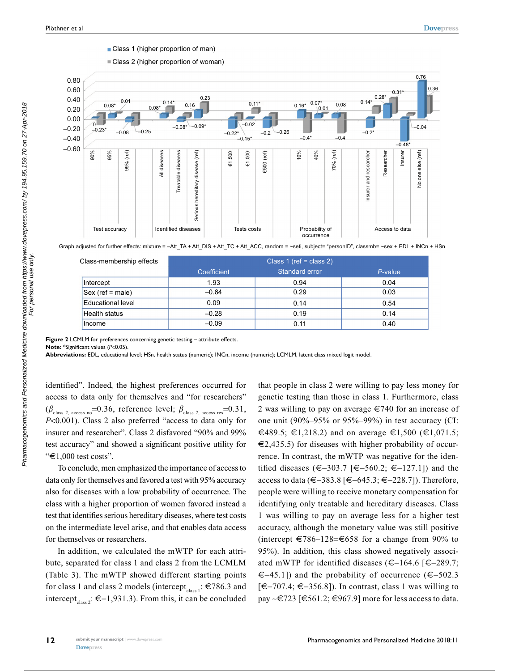

Class 1 (higher proportion of man)

Class 2 (higher proportion of woman)

| Class-membership effects | Class 1 (ref = class 2) |                |         |  |  |  |
|--------------------------|-------------------------|----------------|---------|--|--|--|
|                          | Coefficient             | Standard error | P-value |  |  |  |
| Intercept                | 1.93                    | 0.94           | 0.04    |  |  |  |
| $Sex$ (ref = male)       | $-0.64$                 | 0.29           | 0.03    |  |  |  |
| Educational level        | 0.09                    | 0.14           | 0.54    |  |  |  |
| <b>Health status</b>     | $-0.28$                 | 0.19           | 0.14    |  |  |  |
| Income                   | $-0.09$                 | 0.11           | 0.40    |  |  |  |

**Figure 2** LCMLM for preferences concerning genetic testing – attribute effects.

**Note:** \*Significant values (*P*<0.05).

**Abbreviations:** EDL, educational level; HSn, health status (numeric); INCn, income (numeric); LCMLM, latent class mixed logit model.

identified". Indeed, the highest preferences occurred for access to data only for themselves and "for researchers"  $(\beta_{\text{class 2, access no}} = 0.36, \text{ reference level}; \beta_{\text{class 2, access res}} = 0.31,$ *P*<0.001). Class 2 also preferred "access to data only for insurer and researcher". Class 2 disfavored "90% and 99% test accuracy" and showed a significant positive utility for " $\epsilon$ 1,000 test costs".

To conclude, men emphasized the importance of access to data only for themselves and favored a test with 95% accuracy also for diseases with a low probability of occurrence. The class with a higher proportion of women favored instead a test that identifies serious hereditary diseases, where test costs on the intermediate level arise, and that enables data access for themselves or researchers.

In addition, we calculated the mWTP for each attribute, separated for class 1 and class 2 from the LCMLM (Table 3). The mWTP showed different starting points for class 1 and class 2 models (intercept<sub>class 1</sub>:  $\in$ 786.3 and intercept<sub>class</sub>  $: \epsilon = -1.931.3$ . From this, it can be concluded that people in class 2 were willing to pay less money for genetic testing than those in class 1. Furthermore, class 2 was willing to pay on average  $\epsilon$ 740 for an increase of one unit (90%–95% or 95%–99%) in test accuracy (CI: €489.5; €1,218.2) and on average €1,500 (€1,071.5;  $\epsilon$ 2,435.5) for diseases with higher probability of occurrence. In contrast, the mWTP was negative for the identified diseases (€-303.7 [€-560.2; €-127.1]) and the access to data (€-383.8 [€-645.3; €-228.7]). Therefore, people were willing to receive monetary compensation for identifying only treatable and hereditary diseases. Class 1 was willing to pay on average less for a higher test accuracy, although the monetary value was still positive (intercept  $\text{€786-128=€658}$  for a change from 90% to 95%). In addition, this class showed negatively associated mWTP for identified diseases ( $\epsilon$ -164.6 [ $\epsilon$ -289.7;  $\epsilon$ –45.1]) and the probability of occurrence ( $\epsilon$ –502.3  $\lbrack \in -707.4; \in -356.8\rbrack$ . In contrast, class 1 was willing to pay ~€723 [€561.2; €967.9] more for less access to data.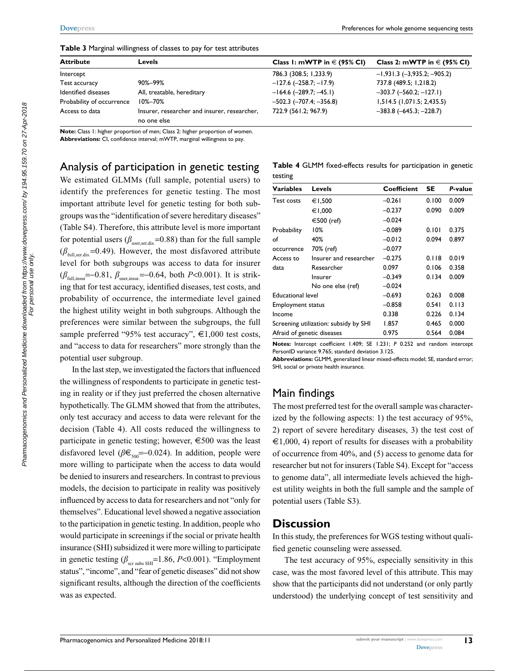| <b>Attribute</b>          | <b>Levels</b>                                               | Class 1: mWTP in $\in$ (95% CI)  | Class 2: mWTP in $\in$ (95% CI)  |
|---------------------------|-------------------------------------------------------------|----------------------------------|----------------------------------|
| Intercept                 |                                                             | 786.3 (308.5; 1,233.9)           | $-1,931.3$ (-3,935.2; -905.2)    |
| Test accuracy             | 90%–99%                                                     | $-127.6$ (-258.7; -17.9)         | 737.8 (489.5; 1,218.2)           |
| Identified diseases       | All, treatable, hereditary                                  | $-164.6$ (-289.7; -45.1)         | $-303.7$ ( $-560.2$ ; $-127.1$ ) |
| Probability of occurrence | $10\% - 70\%$                                               | $-502.3$ ( $-707.4$ ; $-356.8$ ) | $1,514.5$ (1,071.5; 2,435.5)     |
| Access to data            | Insurer, researcher and insurer, researcher,<br>no one else | 722.9 (561.2; 967.9)             | $-383.8$ ( $-645.3$ ; $-228.7$ ) |

**Table 3** Marginal willingness of classes to pay for test attributes

**Note:** Class 1: higher proportion of men; Class 2: higher proportion of women.

**Abbreviations:** CI, confidence interval; mWTP, marginal willingness to pay.

Analysis of participation in genetic testing

We estimated GLMMs (full sample, potential users) to identify the preferences for genetic testing. The most important attribute level for genetic testing for both subgroups was the "identification of severe hereditary diseases" (Table S4). Therefore, this attribute level is more important for potential users  $(\beta_{\text{user} \text{set}} = 0.88)$  than for the full sample  $(\beta_{\text{full} \text{ and } \mathbf{s}}=0.49)$ . However, the most disfavored attribute level for both subgroups was access to data for insurer  $(\beta_{\text{full,insur}}=-0.81, \beta_{\text{user,insur}}=-0.64, \text{ both } P<0.001)$ . It is striking that for test accuracy, identified diseases, test costs, and probability of occurrence, the intermediate level gained the highest utility weight in both subgroups. Although the preferences were similar between the subgroups, the full sample preferred "95% test accuracy",  $\in$ 1,000 test costs, and "access to data for researchers" more strongly than the potential user subgroup.

In the last step, we investigated the factors that influenced the willingness of respondents to participate in genetic testing in reality or if they just preferred the chosen alternative hypothetically. The GLMM showed that from the attributes, only test accuracy and access to data were relevant for the decision (Table 4). All costs reduced the willingness to participate in genetic testing; however,  $\epsilon$ 500 was the least disfavored level ( $\beta \in \epsilon_{500} = -0.024$ ). In addition, people were more willing to participate when the access to data would be denied to insurers and researchers. In contrast to previous models, the decision to participate in reality was positively influenced by access to data for researchers and not "only for themselves". Educational level showed a negative association to the participation in genetic testing. In addition, people who would participate in screenings if the social or private health insurance (SHI) subsidized it were more willing to participate in genetic testing  $(\beta_{\text{scr subs SH}}=1.86, P<0.001)$ . "Employment status", "income", and "fear of genetic diseases" did not show significant results, although the direction of the coefficients was as expected.

|         |  |  | Table 4 GLMM fixed-effects results for participation in genetic |  |
|---------|--|--|-----------------------------------------------------------------|--|
| testing |  |  |                                                                 |  |

| <b>Variables</b>                      | Levels                     | Coefficient | SE    | P-value |
|---------------------------------------|----------------------------|-------------|-------|---------|
| Test costs                            | ∈1,500                     | $-0.261$    | 0.100 | 0.009   |
|                                       | 000,13                     | $-0.237$    | 0.090 | 0.009   |
|                                       | €500 (ref)                 | $-0.024$    |       |         |
| Probability                           | 10%                        | $-0.089$    | 0.101 | 0.375   |
| of                                    | 40%                        | $-0.012$    | 0.094 | 0.897   |
| occurrence                            | 70% (ref)                  | $-0.077$    |       |         |
| Access to                             | Insurer and researcher     | $-0.275$    | 0.118 | 0.019   |
| data                                  | Researcher                 | 0.097       | 0.106 | 0.358   |
|                                       | <b>Insurer</b>             | $-0.349$    | 0.134 | 0.009   |
|                                       | No one else (ref)          | $-0.024$    |       |         |
| <b>Educational level</b>              |                            | $-0.693$    | 0.263 | 0.008   |
| <b>Employment status</b>              |                            | $-0.858$    | 0.541 | 0.113   |
| Income                                |                            | 0.338       | 0.226 | 0.134   |
| Screening utilization: subsidy by SHI |                            | 1.857       | 0.465 | 0.000   |
|                                       | Afraid of genetic diseases | 0.975       | 0.564 | 0.084   |
|                                       |                            |             |       |         |

**Notes:** Intercept coefficient 1.409; SE 1.231; *P* 0.252 and random intercept PersonID variance 9.765; standard deviation 3.125.

**Abbreviations:** GLMM, generalized linear mixed-effects model; SE, standard error; SHI, social or private health insurance.

## Main findings

The most preferred test for the overall sample was characterized by the following aspects: 1) the test accuracy of 95%, 2) report of severe hereditary diseases, 3) the test cost of  $\epsilon$ 1,000, 4) report of results for diseases with a probability of occurrence from 40%, and (5) access to genome data for researcher but not for insurers (Table S4). Except for "access to genome data", all intermediate levels achieved the highest utility weights in both the full sample and the sample of potential users (Table S3).

#### **Discussion**

In this study, the preferences for WGS testing without qualified genetic counseling were assessed.

The test accuracy of 95%, especially sensitivity in this case, was the most favored level of this attribute. This may show that the participants did not understand (or only partly understood) the underlying concept of test sensitivity and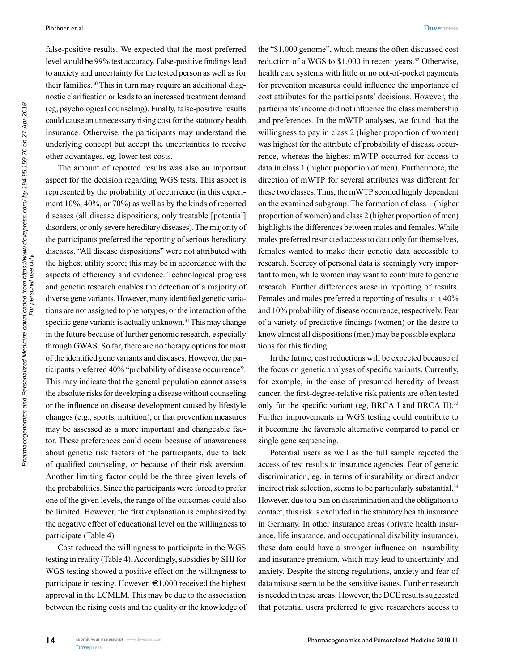false-positive results. We expected that the most preferred level would be 99% test accuracy. False-positive findings lead to anxiety and uncertainty for the tested person as well as for their families.30 This in turn may require an additional diagnostic clarification or leads to an increased treatment demand (eg, psychological counseling). Finally, false-positive results could cause an unnecessary rising cost for the statutory health insurance. Otherwise, the participants may understand the underlying concept but accept the uncertainties to receive other advantages, eg, lower test costs.

The amount of reported results was also an important aspect for the decision regarding WGS tests. This aspect is represented by the probability of occurrence (in this experiment 10%, 40%, or 70%) as well as by the kinds of reported diseases (all disease dispositions, only treatable [potential] disorders, or only severe hereditary diseases). The majority of the participants preferred the reporting of serious hereditary diseases. "All disease dispositions" were not attributed with the highest utility score; this may be in accordance with the aspects of efficiency and evidence. Technological progress and genetic research enables the detection of a majority of diverse gene variants. However, many identified genetic variations are not assigned to phenotypes, or the interaction of the specific gene variants is actually unknown.<sup>31</sup> This may change in the future because of further genomic research, especially through GWAS. So far, there are no therapy options for most of the identified gene variants and diseases. However, the participants preferred 40% "probability of disease occurrence". This may indicate that the general population cannot assess the absolute risks for developing a disease without counseling or the influence on disease development caused by lifestyle changes (e.g., sports, nutrition), or that prevention measures may be assessed as a more important and changeable factor. These preferences could occur because of unawareness about genetic risk factors of the participants, due to lack of qualified counseling, or because of their risk aversion. Another limiting factor could be the three given levels of the probabilities. Since the participants were forced to prefer one of the given levels, the range of the outcomes could also be limited. However, the first explanation is emphasized by the negative effect of educational level on the willingness to participate (Table 4).

Cost reduced the willingness to participate in the WGS testing in reality (Table 4). Accordingly, subsidies by SHI for WGS testing showed a positive effect on the willingness to participate in testing. However,  $\epsilon 1,000$  received the highest approval in the LCMLM. This may be due to the association between the rising costs and the quality or the knowledge of

the "\$1,000 genome", which means the often discussed cost reduction of a WGS to \$1,000 in recent years.<sup>32</sup> Otherwise, health care systems with little or no out-of-pocket payments for prevention measures could influence the importance of cost attributes for the participants' decisions. However, the participants' income did not influence the class membership and preferences. In the mWTP analyses, we found that the willingness to pay in class 2 (higher proportion of women) was highest for the attribute of probability of disease occurrence, whereas the highest mWTP occurred for access to data in class 1 (higher proportion of men). Furthermore, the direction of mWTP for several attributes was different for these two classes. Thus, the mWTP seemed highly dependent on the examined subgroup. The formation of class 1 (higher proportion of women) and class 2 (higher proportion of men) highlights the differences between males and females. While males preferred restricted access to data only for themselves, females wanted to make their genetic data accessible to research. Secrecy of personal data is seemingly very important to men, while women may want to contribute to genetic research. Further differences arose in reporting of results. Females and males preferred a reporting of results at a 40% and 10% probability of disease occurrence, respectively. Fear of a variety of predictive findings (women) or the desire to know almost all dispositions (men) may be possible explanations for this finding.

In the future, cost reductions will be expected because of the focus on genetic analyses of specific variants. Currently, for example, in the case of presumed heredity of breast cancer, the first-degree-relative risk patients are often tested only for the specific variant (eg, BRCA I and BRCA II).<sup>33</sup> Further improvements in WGS testing could contribute to it becoming the favorable alternative compared to panel or single gene sequencing.

Potential users as well as the full sample rejected the access of test results to insurance agencies. Fear of genetic discrimination, eg, in terms of insurability or direct and/or indirect risk selection, seems to be particularly substantial.<sup>34</sup> However, due to a ban on discrimination and the obligation to contact, this risk is excluded in the statutory health insurance in Germany. In other insurance areas (private health insurance, life insurance, and occupational disability insurance), these data could have a stronger influence on insurability and insurance premium, which may lead to uncertainty and anxiety. Despite the strong regulations, anxiety and fear of data misuse seem to be the sensitive issues. Further research is needed in these areas. However, the DCE results suggested that potential users preferred to give researchers access to

**14**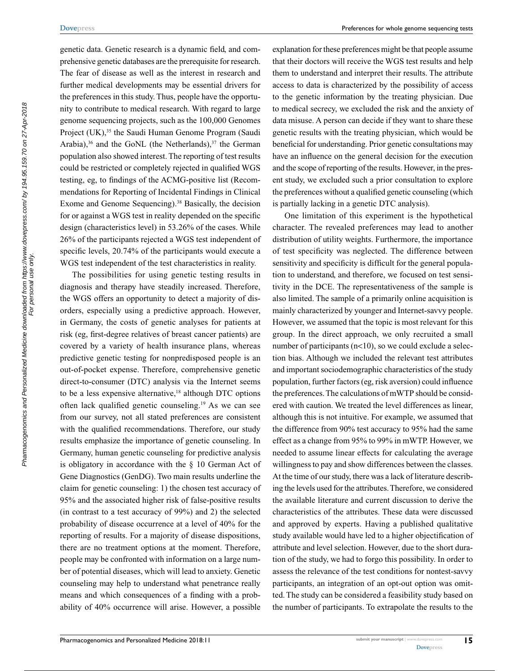genetic data. Genetic research is a dynamic field, and comprehensive genetic databases are the prerequisite for research. The fear of disease as well as the interest in research and further medical developments may be essential drivers for the preferences in this study. Thus, people have the opportunity to contribute to medical research. With regard to large genome sequencing projects, such as the 100,000 Genomes Project (UK),<sup>35</sup> the Saudi Human Genome Program (Saudi Arabia), $36$  and the GoNL (the Netherlands), $37$  the German population also showed interest. The reporting of test results could be restricted or completely rejected in qualified WGS testing, eg, to findings of the ACMG-positive list (Recommendations for Reporting of Incidental Findings in Clinical Exome and Genome Sequencing).<sup>38</sup> Basically, the decision for or against a WGS test in reality depended on the specific design (characteristics level) in 53.26% of the cases. While 26% of the participants rejected a WGS test independent of specific levels, 20.74% of the participants would execute a WGS test independent of the test characteristics in reality.

The possibilities for using genetic testing results in diagnosis and therapy have steadily increased. Therefore, the WGS offers an opportunity to detect a majority of disorders, especially using a predictive approach. However, in Germany, the costs of genetic analyses for patients at risk (eg, first-degree relatives of breast cancer patients) are covered by a variety of health insurance plans, whereas predictive genetic testing for nonpredisposed people is an out-of-pocket expense. Therefore, comprehensive genetic direct-to-consumer (DTC) analysis via the Internet seems to be a less expensive alternative,<sup>18</sup> although DTC options often lack qualified genetic counseling.19 As we can see from our survey, not all stated preferences are consistent with the qualified recommendations. Therefore, our study results emphasize the importance of genetic counseling. In Germany, human genetic counseling for predictive analysis is obligatory in accordance with the § 10 German Act of Gene Diagnostics (GenDG). Two main results underline the claim for genetic counseling: 1) the chosen test accuracy of 95% and the associated higher risk of false-positive results (in contrast to a test accuracy of 99%) and 2) the selected probability of disease occurrence at a level of 40% for the reporting of results. For a majority of disease dispositions, there are no treatment options at the moment. Therefore, people may be confronted with information on a large number of potential diseases, which will lead to anxiety. Genetic counseling may help to understand what penetrance really means and which consequences of a finding with a probability of 40% occurrence will arise. However, a possible

explanation for these preferences might be that people assume that their doctors will receive the WGS test results and help them to understand and interpret their results. The attribute access to data is characterized by the possibility of access to the genetic information by the treating physician. Due to medical secrecy, we excluded the risk and the anxiety of data misuse. A person can decide if they want to share these genetic results with the treating physician, which would be beneficial for understanding. Prior genetic consultations may have an influence on the general decision for the execution and the scope of reporting of the results. However, in the present study, we excluded such a prior consultation to explore the preferences without a qualified genetic counseling (which is partially lacking in a genetic DTC analysis).

One limitation of this experiment is the hypothetical character. The revealed preferences may lead to another distribution of utility weights. Furthermore, the importance of test specificity was neglected. The difference between sensitivity and specificity is difficult for the general population to understand, and therefore, we focused on test sensitivity in the DCE. The representativeness of the sample is also limited. The sample of a primarily online acquisition is mainly characterized by younger and Internet-savvy people. However, we assumed that the topic is most relevant for this group. In the direct approach, we only recruited a small number of participants (n<10), so we could exclude a selection bias. Although we included the relevant test attributes and important sociodemographic characteristics of the study population, further factors (eg, risk aversion) could influence the preferences. The calculations of mWTP should be considered with caution. We treated the level differences as linear, although this is not intuitive. For example, we assumed that the difference from 90% test accuracy to 95% had the same effect as a change from 95% to 99% in mWTP. However, we needed to assume linear effects for calculating the average willingness to pay and show differences between the classes. At the time of our study, there was a lack of literature describing the levels used for the attributes. Therefore, we considered the available literature and current discussion to derive the characteristics of the attributes. These data were discussed and approved by experts. Having a published qualitative study available would have led to a higher objectification of attribute and level selection. However, due to the short duration of the study, we had to forgo this possibility. In order to assess the relevance of the test conditions for nontest-savvy participants, an integration of an opt-out option was omitted. The study can be considered a feasibility study based on the number of participants. To extrapolate the results to the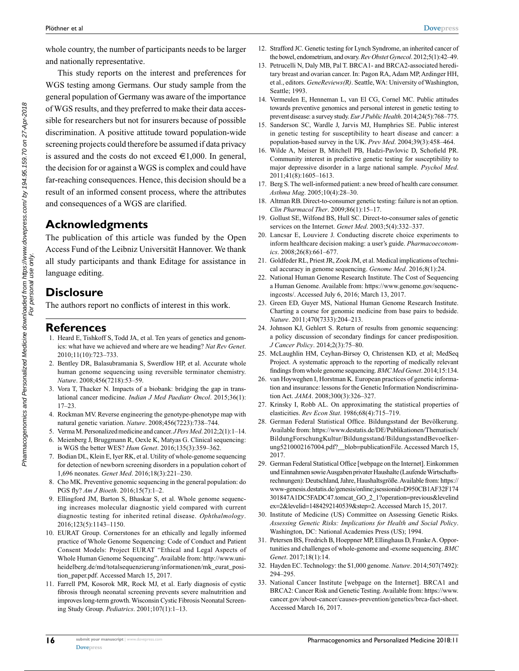whole country, the number of participants needs to be larger and nationally representative.

This study reports on the interest and preferences for WGS testing among Germans. Our study sample from the general population of Germany was aware of the importance of WGS results, and they preferred to make their data accessible for researchers but not for insurers because of possible discrimination. A positive attitude toward population-wide screening projects could therefore be assumed if data privacy is assured and the costs do not exceed  $\in$ 1,000. In general, the decision for or against a WGS is complex and could have far-reaching consequences. Hence, this decision should be a result of an informed consent process, where the attributes and consequences of a WGS are clarified.

#### **Acknowledgments**

The publication of this article was funded by the Open Access Fund of the Leibniz Universität Hannover. We thank all study participants and thank Editage for assistance in language editing.

#### **Disclosure**

The authors report no conflicts of interest in this work.

#### **References**

- 1. Heard E, Tishkoff S, Todd JA, et al. Ten years of genetics and genomics: what have we achieved and where are we heading? *Nat Rev Genet*. 2010;11(10):723–733.
- 2. Bentley DR, Balasubramania S, Swerdlow HP, et al. Accurate whole human genome sequencing using reversible terminator chemistry. *Nature*. 2008;456(7218):53–59.
- 3. Vora T, Thacker N. Impacts of a biobank: bridging the gap in translational cancer medicine. *Indian J Med Paediatr Oncol*. 2015;36(1): 17–23.
- 4. Rockman MV. Reverse engineering the genotype-phenotype map with natural genetic variation. *Nature*. 2008;456(7223):738–744.
- 5. Verma M. Personalized medicine and cancer. *J Pers Med*. 2012;2(1):1–14. 6. Meienberg J, Bruggmann R, Oexle K, Matyas G. Clinical sequencing:
- is WGS the better WES? *Hum Genet*. 2016;135(3):359–362.
- 7. Bodian DL, Klein E, Iyer RK, et al. Utility of whole-genome sequencing for detection of newborn screening disorders in a population cohort of 1,696 neonates. *Genet Med*. 2016;18(3):221–230.
- 8. Cho MK. Preventive genomic sequencing in the general population: do PGS fly? *Am J Bioeth*. 2016;15(7):1–2.
- 9. Ellingford JM, Barton S, Bhaskar S, et al. Whole genome sequencing increases molecular diagnostic yield compared with current diagnostic testing for inherited retinal disease. *Ophthalmology*. 2016;123(5):1143–1150.
- 10. EURAT Group. Cornerstones for an ethically and legally informed practice of Whole Genome Sequencing: Code of Conduct and Patient Consent Models: Project EURAT "Ethical and Legal Aspects of Whole Human Genome Sequencing". Available from: http://www.uniheidelberg.de/md/totalsequenzierung/informationen/mk\_eurat\_position\_paper.pdf. Accessed March 15, 2017.
- 11. Farrell PM, Kosorok MR, Rock MJ, et al. Early diagnosis of cystic fibrosis through neonatal screening prevents severe malnutrition and improves long-term growth. Wisconsin Cystic Fibrosis Neonatal Screening Study Group. *Pediatrics*. 2001;107(1):1–13.
- 12. Strafford JC. Genetic testing for Lynch Syndrome, an inherited cancer of the bowel, endometrium, and ovary. *Rev Obstet Gynecol*. 2012;5(1):42–49.
- 13. Petrucelli N, Daly MB, Pal T. BRCA1- and BRCA2-associated hereditary breast and ovarian cancer. In: Pagon RA, Adam MP, Ardinger HH, et al., editors. *GeneReviews(R)*. Seattle, WA: University of Washington, Seattle; 1993.
- 14. Vermeulen E, Henneman L, van El CG, Cornel MC. Public attitudes towards preventive genomics and personal interest in genetic testing to prevent disease: a survey study. *Eur J Public Health*. 2014;24(5):768–775.
- 15. Sanderson SC, Wardle J, Jarvis MJ, Humphries SE. Public interest in genetic testing for susceptibility to heart disease and cancer: a population-based survey in the UK. *Prev Med*. 2004;39(3):458–464.
- 16. Wilde A, Meiser B, Mitchell PB, Hadzi-Pavlovic D, Schofield PR. Community interest in predictive genetic testing for susceptibility to major depressive disorder in a large national sample. *Psychol Med*. 2011;41(8):1605–1613.
- 17. Berg S. The well-informed patient: a new breed of health care consumer. *Asthma Mag*. 2005;10(4):28–30.
- Altman RB. Direct-to-consumer genetic testing: failure is not an option. *Clin Pharmacol Ther*. 2009;86(1):15–17.
- 19. Gollust SE, Wilfond BS, Hull SC. Direct-to-consumer sales of genetic services on the Internet. *Genet Med*. 2003;5(4):332–337.
- 20. Lancsar E, Louviere J. Conducting discrete choice experiments to inform healthcare decision making: a user's guide. *Pharmacoeconomics*. 2008;26(8):661–677.
- 21. Goldfeder RL, Priest JR, Zook JM, et al. Medical implications of technical accuracy in genome sequencing. *Genome Med*. 2016;8(1):24.
- 22. National Human Genome Research Institute. The Cost of Sequencing a Human Genome. Available from: https://www.genome.gov/sequencingcosts/. Accessed July 6, 2016; March 13, 2017.
- 23. Green ED, Guyer MS, National Human Genome Research Institute. Charting a course for genomic medicine from base pairs to bedside. *Nature*. 2011;470(7333):204–213.
- 24. Johnson KJ, Gehlert S. Return of results from genomic sequencing: a policy discussion of secondary findings for cancer predisposition. *J Cancer Policy*. 2014;2(3):75–80.
- 25. McLaughlin HM, Ceyhan-Birsoy O, Christensen KD, et al; MedSeq Project. A systematic approach to the reporting of medically relevant findings from whole genome sequencing. *BMC Med Genet*. 2014;15:134.
- 26. van Hoyweghen I, Horstman K. European practices of genetic information and insurance: lessons for the Genetic Information Nondiscrimination Act. *JAMA*. 2008;300(3):326–327.
- 27. Krinsky I, Robb AL. On approximating the statistical properties of elasticities. *Rev Econ Stat*. 1986;68(4):715–719.
- 28. German Federal Statistical Office. Bildungsstand der Bevölkerung. Available from: https://www.destatis.de/DE/Publikationen/Thematisch/ BildungForschungKultur/Bildungsstand/BildungsstandBevoelkerung5210002167004.pdf?\_\_blob=publicationFile. Accessed March 15, 2017.
- 29. German Federal Statistical Office [webpage on the Internet]. Einkommen und Einnahmen sowie Ausgaben privater Haushalte (Laufende Wirtschaftsrechnungen): Deutschland, Jahre, Haushaltsgröße. Available from: https:// www-genesis.destatis.de/genesis/online;jsessionid=D950CB1AF32F174 301847A1DC5FADC47.tomcat\_GO\_2\_1?operation=previous&levelind ex=2&levelid=1484292140539&step=2. Accessed March 15, 2017.
- 30. Institute of Medicine (US) Committee on Assessing Genetic Risks. *Assessing Genetic Risks: Implications for Health and Social Policy*. Washington, DC: National Academies Press (US); 1994.
- 31. Petersen BS, Fredrich B, Hoeppner MP, Ellinghaus D, Franke A. Opportunities and challenges of whole-genome and -exome sequencing. *BMC Genet*. 2017;18(1):14.
- 32. Hayden EC. Technology: the \$1,000 genome. *Nature*. 2014;507(7492): 294–295.
- 33. National Cancer Institute [webpage on the Internet]. BRCA1 and BRCA2: Cancer Risk and Genetic Testing. Available from: https://www. cancer.gov/about-cancer/causes-prevention/genetics/brca-fact-sheet. Accessed March 16, 2017.

**16**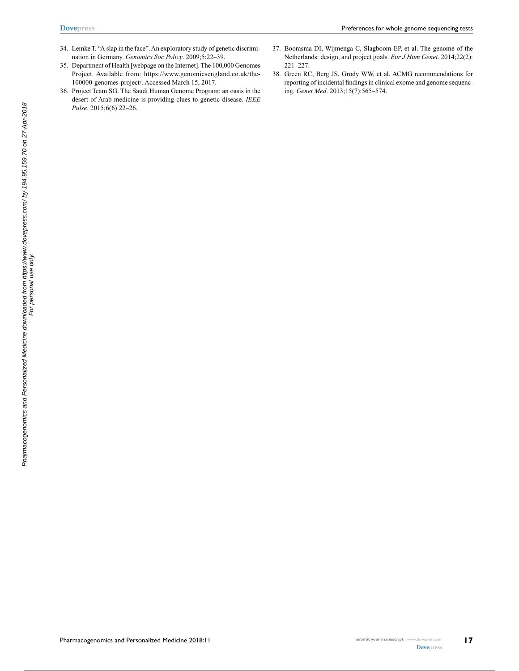- 34. Lemke T. "A slap in the face". An exploratory study of genetic discrimination in Germany. *Genomics Soc Policy*. 2009;5:22–39.
- 35. Department of Health [webpage on the Internet]. The 100,000 Genomes Project. Available from: https://www.genomicsengland.co.uk/the-100000-genomes-project/. Accessed March 15, 2017.
- 36. Project Team SG. The Saudi Human Genome Program: an oasis in the desert of Arab medicine is providing clues to genetic disease. *IEEE Pulse*. 2015;6(6):22–26.
- 37. Boomsma DI, Wijmenga C, Slagboom EP, et al. The genome of the Netherlands: design, and project goals. *Eur J Hum Genet*. 2014;22(2): 221–227.
- 38. Green RC, Berg JS, Grody WW, et al. ACMG recommendations for reporting of incidental findings in clinical exome and genome sequencing. *Genet Med*. 2013;15(7):565–574.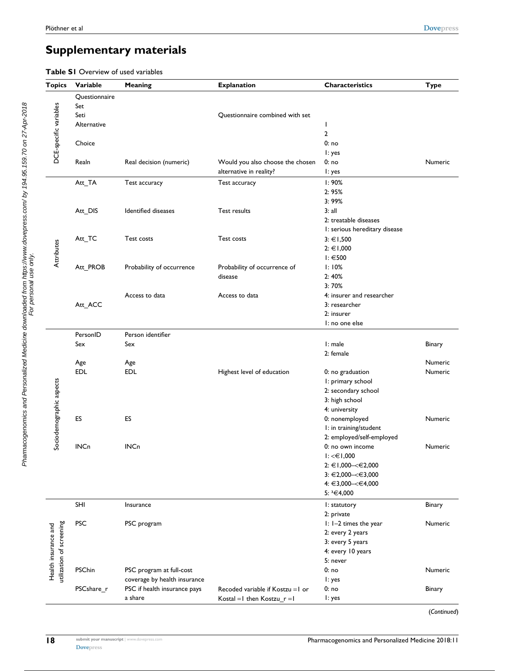## **Supplementary materials**

**Table S1** Overview of used variables

| <b>Topics</b>                                    | Variable                   | <b>Meaning</b>                                           | <b>Explanation</b>                                                | Characteristics                                                                                                        | <b>Type</b>    |
|--------------------------------------------------|----------------------------|----------------------------------------------------------|-------------------------------------------------------------------|------------------------------------------------------------------------------------------------------------------------|----------------|
|                                                  | Questionnaire              |                                                          |                                                                   |                                                                                                                        |                |
| DCE-specific variables                           | Set<br>Seti<br>Alternative |                                                          | Questionnaire combined with set                                   | J.                                                                                                                     |                |
|                                                  | Choice                     |                                                          |                                                                   | $\overline{2}$<br>0: no                                                                                                |                |
|                                                  | Realn                      | Real decision (numeric)                                  | Would you also choose the chosen<br>alternative in reality?       | I: yes<br>0:no<br>I: yes                                                                                               | <b>Numeric</b> |
|                                                  | Att_TA                     | Test accuracy                                            | Test accuracy                                                     | 1:90%<br>2:95%<br>3:99%                                                                                                |                |
|                                                  | Att_DIS                    | Identified diseases                                      | Test results                                                      | $3:$ all<br>2: treatable diseases<br>I: serious hereditary disease                                                     |                |
| Attributes                                       | Att_TC                     | Test costs                                               | Test costs                                                        | 3: €1,500<br>$2: \in I,000$<br>I: €500                                                                                 |                |
|                                                  | Att_PROB                   | Probability of occurrence                                | Probability of occurrence of<br>disease                           | 1:10%<br>2:40%<br>3:70%                                                                                                |                |
|                                                  | Att_ACC                    | Access to data                                           | Access to data                                                    | 4: insurer and researcher<br>3: researcher<br>2: insurer<br>I: no one else                                             |                |
|                                                  | PersonID                   | Person identifier                                        |                                                                   |                                                                                                                        |                |
|                                                  | Sex                        | Sex                                                      |                                                                   | I: male                                                                                                                | Binary         |
|                                                  | Age                        | Age                                                      |                                                                   | 2: female                                                                                                              | <b>Numeric</b> |
| Sociodemographic aspects                         | <b>EDL</b>                 | <b>EDL</b>                                               | Highest level of education                                        | 0: no graduation<br>I: primary school<br>2: secondary school<br>3: high school<br>4: university                        | Numeric        |
|                                                  | ES                         | ES                                                       |                                                                   | 0: nonemployed<br>I: in training/student<br>2: employed/self-employed                                                  | <b>Numeric</b> |
|                                                  | <b>INCn</b>                | <b>INCn</b>                                              |                                                                   | 0: no own income<br>$I: \leq \in I,000$<br>2: €1,000–<€2,000<br>3: €2,000–<€3,000<br>4: €3,000-<€4,000<br>5: $3€4,000$ | Numeric        |
|                                                  | <b>SHI</b>                 | Insurance                                                |                                                                   | I: statutory                                                                                                           | Binary         |
| utilization of screening<br>Health insurance and | <b>PSC</b>                 | PSC program                                              |                                                                   | 2: private<br>I: I-2 times the year<br>2: every 2 years<br>3: every 5 years<br>4: every 10 years<br>5: never           | <b>Numeric</b> |
|                                                  | <b>PSChin</b>              | PSC program at full-cost<br>coverage by health insurance |                                                                   | 0: no<br>I: yes                                                                                                        | Numeric        |
|                                                  | PSCshare_r                 | PSC if health insurance pays<br>a share                  | Recoded variable if Kostzu = 1 or<br>Kostal = 1 then Kostzu_r = 1 | 0:no<br>I: yes                                                                                                         | Binary         |

(*Continued*)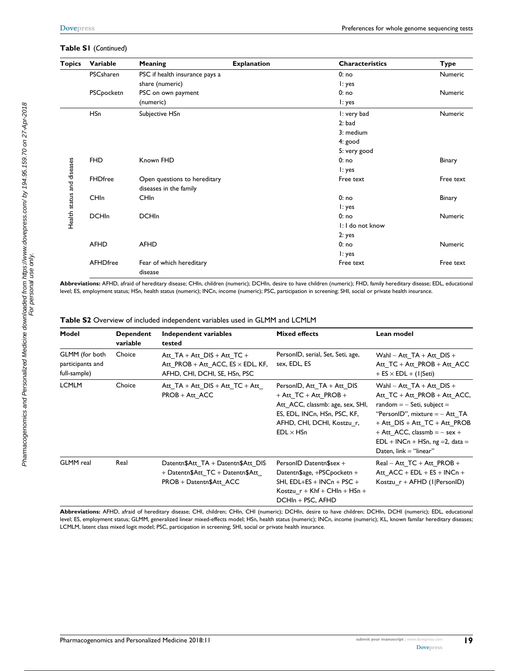#### **Table S1** (*Continued*)

| <b>Topics</b>              | Variable        | Meaning                        | <b>Explanation</b> | Characteristics  | <b>Type</b>    |
|----------------------------|-----------------|--------------------------------|--------------------|------------------|----------------|
|                            | PSCsharen       | PSC if health insurance pays a |                    | 0: no            | Numeric        |
|                            |                 | share (numeric)                |                    | I: yes           |                |
|                            | PSCpocketn      | PSC on own payment             |                    | 0: no            | Numeric        |
|                            |                 | (numeric)                      |                    | I: yes           |                |
|                            | <b>HSn</b>      | Subjective HSn                 |                    | I: very bad      | <b>Numeric</b> |
|                            |                 |                                |                    | $2:$ bad         |                |
|                            |                 |                                |                    | 3: medium        |                |
|                            |                 |                                |                    | 4: good          |                |
|                            |                 |                                |                    | 5: very good     |                |
|                            | <b>FHD</b>      | Known FHD                      |                    | 0:no             | Binary         |
|                            |                 |                                |                    | I: yes           |                |
| Health status and diseases | <b>FHDfree</b>  | Open questions to hereditary   |                    | Free text        | Free text      |
|                            |                 | diseases in the family         |                    |                  |                |
|                            | <b>CHIn</b>     | <b>CHIn</b>                    |                    | 0: no            | Binary         |
|                            |                 |                                |                    | I: yes           |                |
|                            | <b>DCHIn</b>    | <b>DCHIn</b>                   |                    | 0: no            | <b>Numeric</b> |
|                            |                 |                                |                    | I: I do not know |                |
|                            |                 |                                |                    | 2: yes           |                |
|                            | <b>AFHD</b>     | <b>AFHD</b>                    |                    | 0: no            | Numeric        |
|                            |                 |                                |                    | I: yes           |                |
|                            | <b>AFHDfree</b> | Fear of which hereditary       |                    | Free text        | Free text      |
|                            |                 | disease                        |                    |                  |                |

**Abbreviations:** AFHD, afraid of hereditary disease; CHIn, children (numeric); DCHIn, desire to have children (numeric); FHD, family hereditary disease; EDL, educational level; ES, employment status; HSn, health status (numeric); INCn, income (numeric); PSC, participation in screening; SHI, social or private health insurance.

| Table S2 Overview of included independent variables used in GLMM and LCMLM |
|----------------------------------------------------------------------------|
|----------------------------------------------------------------------------|

| Model                                              | <b>Dependent</b><br>variable | Independent variables<br>tested                                                                              | <b>Mixed effects</b>                                                                                                                                                            | Lean model                                                                                                                                                                                                                                                                                     |
|----------------------------------------------------|------------------------------|--------------------------------------------------------------------------------------------------------------|---------------------------------------------------------------------------------------------------------------------------------------------------------------------------------|------------------------------------------------------------------------------------------------------------------------------------------------------------------------------------------------------------------------------------------------------------------------------------------------|
| GLMM (for both<br>participants and<br>full-sample) | Choice                       | Att $TA + Att$ DIS + Att $TC +$<br>Att PROB + Att ACC, ES $\times$ EDL, KF,<br>AFHD, CHI, DCHI, SE, HSn, PSC | PersonID, serial, Set, Seti, age,<br>sex, EDL, ES                                                                                                                               | Wahl $\sim$ Att TA + Att DIS +<br>Att $TC + Att$ PROB + Att ACC<br>$+ ES \times EDL + (I Seti)$                                                                                                                                                                                                |
| <b>LCMLM</b>                                       | Choice                       | Att $TA + Att$ DIS + Att $TC + Att$<br>$PROB + Att$ ACC                                                      | PersonID, Att TA + Att DIS<br>$+$ Att TC $+$ Att PROB $+$<br>Att ACC, classmb: age, sex, SHI,<br>ES, EDL, INCn, HSn, PSC, KF,<br>AFHD, CHI, DCHI, Kostzu r,<br>$EDL \times HSn$ | Wahl $\sim$ Att TA + Att DIS +<br>Att $TC + Att$ PROB + Att ACC,<br>random $=$ $\sim$ Seti, subject $=$<br>"PersonID", mixture $=$ $\sim$ Att TA<br>$+$ Att DIS $+$ Att TC $+$ Att PROB<br>+ Att ACC, classmb = $\sim$ sex +<br>$EDL + INCn + HSn$ , ng =2, data =<br>Daten, $link = "linear"$ |
| <b>GLMM</b> real                                   | Real                         | Datentn\$Att TA + Datentn\$Att DIS<br>+ Datentn\$Att TC + Datentn\$Att<br>PROB + Datentn\$Att ACC            | PersonID Datentn\$sex +<br>Datentn\$age, +PSCpocketn +<br>SHI, $EDL + ES + INCn + PSC +$<br>Kostzu $r + Khf + CHIn + HSn +$<br>DCHIn + PSC, AFHD                                | $Real ~ Att$ $TC + Att$ $PROB +$<br>Att $ACC + EDL + ES + INCn +$<br>Kostzu $r + AFHD$ (I PersonID)                                                                                                                                                                                            |

**Abbreviations:** AFHD, afraid of hereditary disease; CHI, children; CHIn, CHI (numeric); DCHIn, desire to have children; DCHIn, DCHI (numeric); EDL, educational level; ES, employment status; GLMM, generalized linear mixed-effects model; HSn, health status (numeric); INCn, income (numeric); KL, known familar hereditary diseases; LCMLM, latent class mixed logit model; PSC, participation in screening; SHI, social or private health insurance.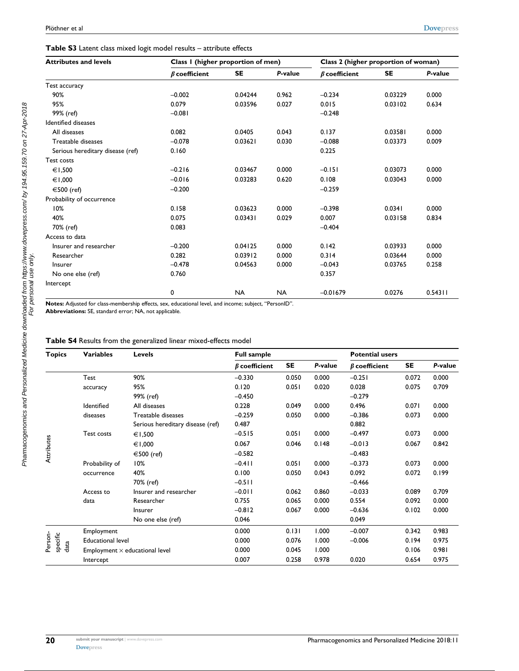| <b>Attributes and levels</b>     | Class I (higher proportion of men) |           |           | Class 2 (higher proportion of woman) |         |         |
|----------------------------------|------------------------------------|-----------|-----------|--------------------------------------|---------|---------|
|                                  | $\beta$ coefficient                | <b>SE</b> | P-value   | $\beta$ coefficient                  | SE      | P-value |
| Test accuracy                    |                                    |           |           |                                      |         |         |
| 90%                              | $-0.002$                           | 0.04244   | 0.962     | $-0.234$                             | 0.03229 | 0.000   |
| 95%                              | 0.079                              | 0.03596   | 0.027     | 0.015                                | 0.03102 | 0.634   |
| 99% (ref)                        | $-0.081$                           |           |           | $-0.248$                             |         |         |
| <b>Identified diseases</b>       |                                    |           |           |                                      |         |         |
| All diseases                     | 0.082                              | 0.0405    | 0.043     | 0.137                                | 0.03581 | 0.000   |
| Treatable diseases               | $-0.078$                           | 0.03621   | 0.030     | $-0.088$                             | 0.03373 | 0.009   |
| Serious hereditary disease (ref) | 0.160                              |           |           | 0.225                                |         |         |
| <b>Test costs</b>                |                                    |           |           |                                      |         |         |
| €1,500                           | $-0.216$                           | 0.03467   | 0.000     | $-0.151$                             | 0.03073 | 0.000   |
| €1.000                           | $-0.016$                           | 0.03283   | 0.620     | 0.108                                | 0.03043 | 0.000   |
| €500 (ref)                       | $-0.200$                           |           |           | $-0.259$                             |         |         |
| Probability of occurrence        |                                    |           |           |                                      |         |         |
| 10%                              | 0.158                              | 0.03623   | 0.000     | $-0.398$                             | 0.0341  | 0.000   |
| 40%                              | 0.075                              | 0.03431   | 0.029     | 0.007                                | 0.03158 | 0.834   |
| 70% (ref)                        | 0.083                              |           |           | $-0.404$                             |         |         |
| Access to data                   |                                    |           |           |                                      |         |         |
| Insurer and researcher           | $-0.200$                           | 0.04125   | 0.000     | 0.142                                | 0.03933 | 0.000   |
| Researcher                       | 0.282                              | 0.03912   | 0.000     | 0.314                                | 0.03644 | 0.000   |
| <b>Insurer</b>                   | $-0.478$                           | 0.04563   | 0.000     | $-0.043$                             | 0.03765 | 0.258   |
| No one else (ref)                | 0.760                              |           |           | 0.357                                |         |         |
| Intercept                        |                                    |           |           |                                      |         |         |
|                                  | 0                                  | <b>NA</b> | <b>NA</b> | $-0.01679$                           | 0.0276  | 0.54311 |

**Notes:** Adjusted for class-membership effects, sex, educational level, and income; subject, "PersonID".

**Abbreviations:** SE, standard error; NA, not applicable.

| <b>Table S4</b> Results from the generalized linear mixed-effects model |  |
|-------------------------------------------------------------------------|--|
|                                                                         |  |

| <b>Topics</b>       | <b>Variables</b>                      | Levels                           | <b>Full sample</b>  |           |         | <b>Potential users</b> |       |         |
|---------------------|---------------------------------------|----------------------------------|---------------------|-----------|---------|------------------------|-------|---------|
|                     |                                       |                                  | $\beta$ coefficient | <b>SE</b> | P-value | $\beta$ coefficient    | SE    | P-value |
|                     | Test                                  | 90%                              | $-0.330$            | 0.050     | 0.000   | $-0.251$               | 0.072 | 0.000   |
|                     | accuracy                              | 95%                              | 0.120               | 0.051     | 0.020   | 0.028                  | 0.075 | 0.709   |
|                     |                                       | 99% (ref)                        | $-0.450$            |           |         | $-0.279$               |       |         |
| Attributes          | Identified                            | All diseases                     | 0.228               | 0.049     | 0.000   | 0.496                  | 0.071 | 0.000   |
|                     | diseases                              | Treatable diseases               | $-0.259$            | 0.050     | 0.000   | $-0.386$               | 0.073 | 0.000   |
|                     |                                       | Serious hereditary disease (ref) | 0.487               |           |         | 0.882                  |       |         |
|                     | <b>Test costs</b>                     | ∈1,500                           | $-0.515$            | 0.051     | 0.000   | $-0.497$               | 0.073 | 0.000   |
|                     |                                       | 000,13                           | 0.067               | 0.046     | 0.148   | $-0.013$               | 0.067 | 0.842   |
|                     |                                       | €500 (ref)                       | $-0.582$            |           |         | $-0.483$               |       |         |
|                     | Probability of                        | 10%                              | $-0.411$            | 0.051     | 0.000   | $-0.373$               | 0.073 | 0.000   |
|                     | occurrence                            | 40%                              | 0.100               | 0.050     | 0.043   | 0.092                  | 0.072 | 0.199   |
|                     |                                       | 70% (ref)                        | $-0.511$            |           |         | $-0.466$               |       |         |
|                     | Access to                             | Insurer and researcher           | $-0.011$            | 0.062     | 0.860   | $-0.033$               | 0.089 | 0.709   |
|                     | data                                  | Researcher                       | 0.755               | 0.065     | 0.000   | 0.554                  | 0.092 | 0.000   |
|                     |                                       | Insurer                          | $-0.812$            | 0.067     | 0.000   | $-0.636$               | 0.102 | 0.000   |
|                     |                                       | No one else (ref)                | 0.046               |           |         | 0.049                  |       |         |
|                     | Employment                            |                                  | 0.000               | 0.131     | 1.000   | $-0.007$               | 0.342 | 0.983   |
| Person-<br>specific | <b>Educational level</b>              |                                  | 0.000               | 0.076     | 1.000   | $-0.006$               | 0.194 | 0.975   |
| data                | Employment $\times$ educational level |                                  | 0.000               | 0.045     | 1.000   |                        | 0.106 | 0.981   |
|                     | Intercept                             |                                  | 0.007               | 0.258     | 0.978   | 0.020                  | 0.654 | 0.975   |

**[Dovepress](www.dovepress.com)**